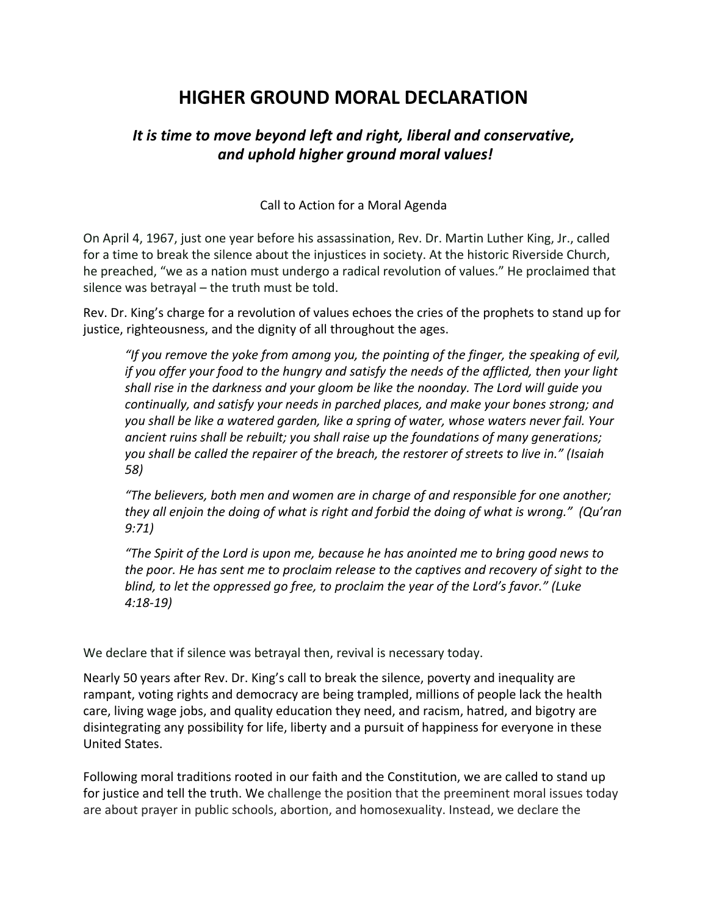# **HIGHER GROUND MORAL DECLARATION**

## *It is time to move beyond left and right, liberal and conservative, and uphold higher ground moral values!*

## Call to Action for a Moral Agenda

On April 4, 1967, just one year before his assassination, Rev. Dr. Martin Luther King, Jr., called for a time to break the silence about the injustices in society. At the historic Riverside Church, he preached, "we as a nation must undergo a radical revolution of values." He proclaimed that silence was betrayal – the truth must be told.

Rev. Dr. King's charge for a revolution of values echoes the cries of the prophets to stand up for justice, righteousness, and the dignity of all throughout the ages.

*"If you remove the yoke from among you, the pointing of the finger, the speaking of evil, if you offer your food to the hungry and satisfy the needs of the afflicted, then your light shall rise in the darkness and your gloom be like the noonday. The Lord will guide you continually, and satisfy your needs in parched places, and make your bones strong; and you shall be like a watered garden, like a spring of water, whose waters never fail. Your ancient ruins shall be rebuilt; you shall raise up the foundations of many generations; you shall be called the repairer of the breach, the restorer of streets to live in." (Isaiah 58)*

*"The believers, both men and women are in charge of and responsible for one another; they all enjoin the doing of what is right and forbid the doing of what is wrong." (Qu'ran 9:71)*

*"The Spirit of the Lord is upon me, because he has anointed me to bring good news to the poor. He has sent me to proclaim release to the captives and recovery of sight to the blind, to let the oppressed go free, to proclaim the year of the Lord's favor." (Luke 4:1819)*

We declare that if silence was betrayal then, revival is necessary today.

Nearly 50 years after Rev. Dr. King's call to break the silence, poverty and inequality are rampant, voting rights and democracy are being trampled, millions of people lack the health care, living wage jobs, and quality education they need, and racism, hatred, and bigotry are disintegrating any possibility for life, liberty and a pursuit of happiness for everyone in these United States.

Following moral traditions rooted in our faith and the Constitution, we are called to stand up for justice and tell the truth. We challenge the position that the preeminent moral issues today are about prayer in public schools, abortion, and homosexuality. Instead, we declare the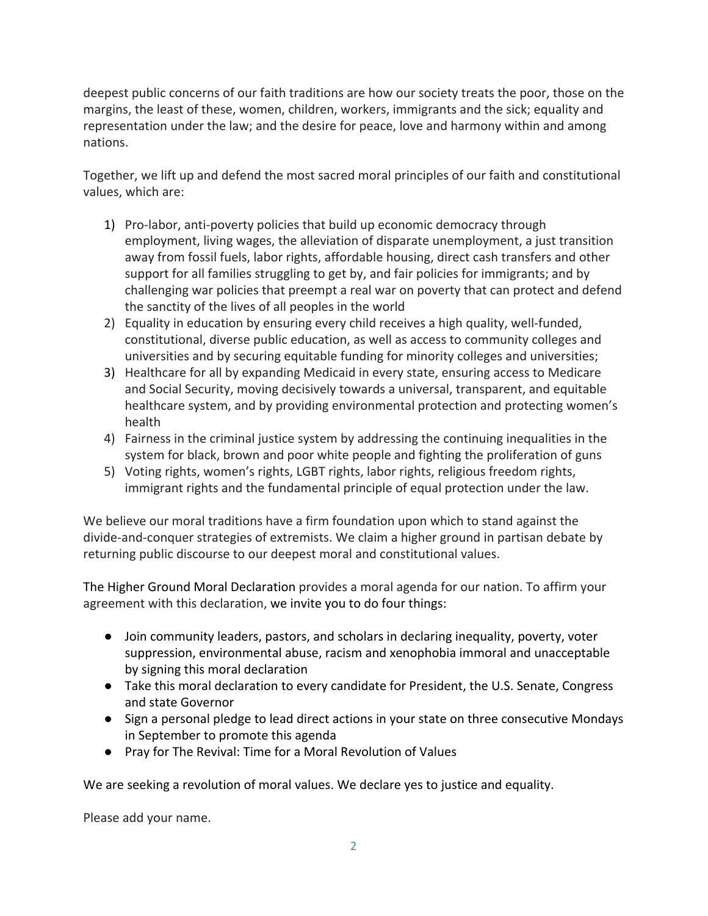deepest public concerns of our faith traditions are how our society treats the poor, those on the margins, the least of these, women, children, workers, immigrants and the sick; equality and representation under the law; and the desire for peace, love and harmony within and among nations.

Together, we lift up and defend the most sacred moral principles of our faith and constitutional values, which are:

- 1) Pro-labor, anti-poverty policies that build up economic democracy through employment, living wages, the alleviation of disparate unemployment, a just transition away from fossil fuels, labor rights, affordable housing, direct cash transfers and other support for all families struggling to get by, and fair policies for immigrants; and by challenging war policies that preempt a real war on poverty that can protect and defend the sanctity of the lives of all peoples in the world
- 2) Equality in education by ensuring every child receives a high quality, well-funded, constitutional, diverse public education, as well as access to community colleges and universities and by securing equitable funding for minority colleges and universities;
- 3) Healthcare for all by expanding Medicaid in every state, ensuring access to Medicare and Social Security, moving decisively towards a universal, transparent, and equitable healthcare system, and by providing environmental protection and protecting women's health
- 4) Fairness in the criminal justice system by addressing the continuing inequalities in the system for black, brown and poor white people and fighting the proliferation of guns
- 5) Voting rights, women's rights, LGBT rights, labor rights, religious freedom rights, immigrant rights and the fundamental principle of equal protection under the law.

We believe our moral traditions have a firm foundation upon which to stand against the divide-and-conquer strategies of extremists. We claim a higher ground in partisan debate by returning public discourse to our deepest moral and constitutional values.

The Higher Ground Moral Declaration provides a moral agenda for our nation. To affirm your agreement with this declaration, we invite you to do four things:

- Join community leaders, pastors, and scholars in declaring inequality, poverty, voter suppression, environmental abuse, racism and xenophobia immoral and unacceptable by signing this moral declaration
- Take this moral declaration to every candidate for President, the U.S. Senate, Congress and state Governor
- Sign a personal pledge to lead direct actions in your state on three consecutive Mondays in September to promote this agenda
- Pray for The Revival: Time for a Moral Revolution of Values

We are seeking a revolution of moral values. We declare yes to justice and equality.

Please add your name.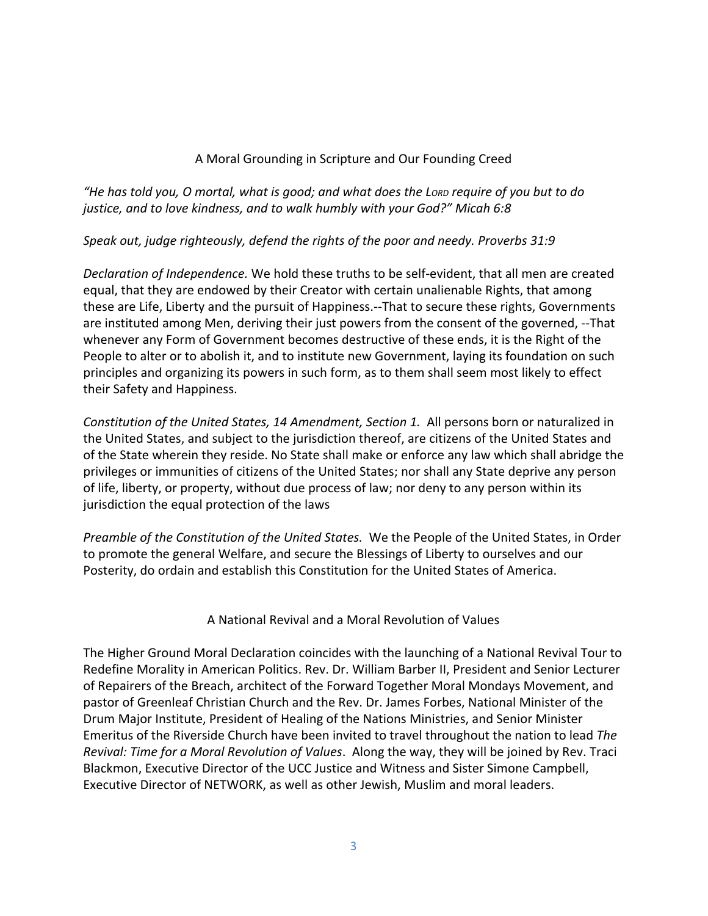## A Moral Grounding in Scripture and Our Founding Creed

*"He has told you, O mortal, what is good; and what does the LORD require of you but to do justice, and to love kindness, and to walk humbly with your God?" Micah 6:8*

## *Speak out, judge righteously, defend the rights of the poor and needy. Proverbs 31:9*

*Declaration of Independence.* We hold these truths to be self-evident, that all men are created equal, that they are endowed by their Creator with certain unalienable Rights, that among these are Life, Liberty and the pursuit of Happiness.--That to secure these rights, Governments are instituted among Men, deriving their just powers from the consent of the governed, --That whenever any Form of Government becomes destructive of these ends, it is the Right of the People to alter or to abolish it, and to institute new Government, laying its foundation on such principles and organizing its powers in such form, as to them shall seem most likely to effect their Safety and Happiness.

*Constitution of the United States, 14 Amendment, Section 1.* All persons born or naturalized in the United States, and subject to the jurisdiction thereof, are citizens of the United States and of the State wherein they reside. No State shall make or enforce any law which shall abridge the privileges or immunities of citizens of the United States; nor shall any State deprive any person of life, liberty, or property, without due process of law; nor deny to any person within its jurisdiction the equal protection of the laws

*Preamble of the Constitution of the United States.* We the People of the United States, in Order to promote the general Welfare, and secure the Blessings of Liberty to ourselves and our Posterity, do ordain and establish this Constitution for the United States of America.

### A National Revival and a Moral Revolution of Values

The Higher Ground Moral Declaration coincides with the launching of a National Revival Tour to Redefine Morality in American Politics. Rev. Dr. William Barber II, President and Senior Lecturer of Repairers of the Breach, architect of the Forward Together Moral Mondays Movement, and pastor of Greenleaf Christian Church and the Rev. Dr. James Forbes, National Minister of the Drum Major Institute, President of Healing of the Nations Ministries, and Senior Minister Emeritus of the Riverside Church have been invited to travel throughout the nation to lead *The Revival: Time for a Moral Revolution of Values*. Along the way, they will be joined by Rev. Traci Blackmon, Executive Director of the UCC Justice and Witness and Sister Simone Campbell, Executive Director of NETWORK, as well as other Jewish, Muslim and moral leaders.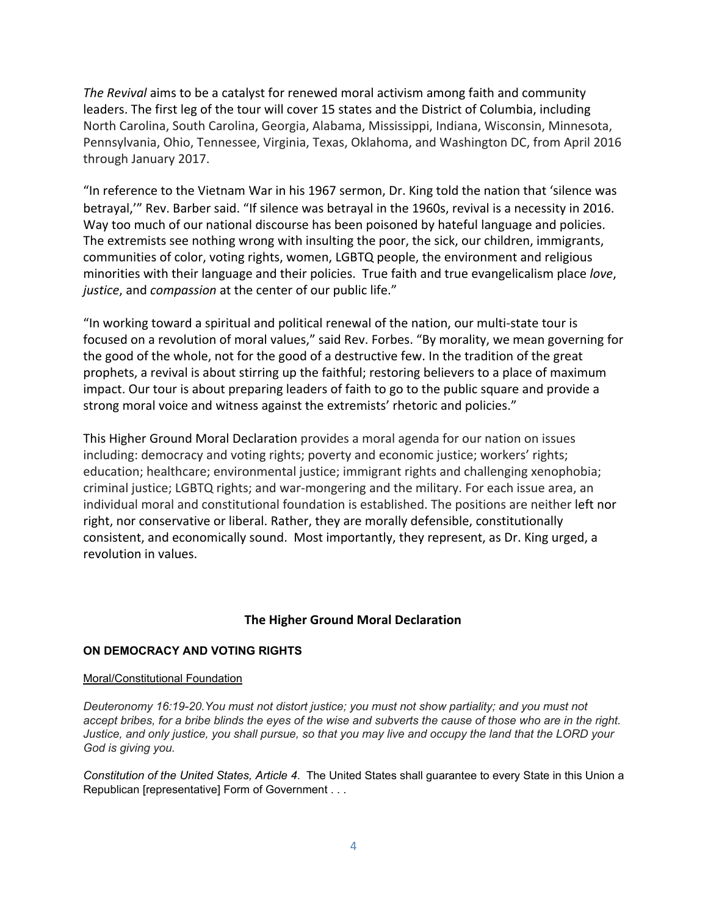*The Revival* aims to be a catalyst for renewed moral activism among faith and community leaders. The first leg of the tour will cover 15 states and the District of Columbia, including North Carolina, South Carolina, Georgia, Alabama, Mississippi, Indiana, Wisconsin, Minnesota, Pennsylvania, Ohio, Tennessee, Virginia, Texas, Oklahoma, and Washington DC, from April 2016 through January 2017.

"In reference to the Vietnam War in his 1967 sermon, Dr. King told the nation that 'silence was betrayal,'" Rev. Barber said. "If silence was betrayal in the 1960s, revival is a necessity in 2016. Way too much of our national discourse has been poisoned by hateful language and policies. The extremists see nothing wrong with insulting the poor, the sick, our children, immigrants, communities of color, voting rights, women, LGBTQ people, the environment and religious minorities with their language and their policies. True faith and true evangelicalism place *love*, *justice*, and *compassion* at the center of our public life."

"In working toward a spiritual and political renewal of the nation, our multi-state tour is focused on a revolution of moral values," said Rev. Forbes. "By morality, we mean governing for the good of the whole, not for the good of a destructive few. In the tradition of the great prophets, a revival is about stirring up the faithful; restoring believers to a place of maximum impact. Our tour is about preparing leaders of faith to go to the public square and provide a strong moral voice and witness against the extremists' rhetoric and policies."

This Higher Ground Moral Declaration provides a moral agenda for our nation on issues including: democracy and voting rights; poverty and economic justice; workers' rights; education; healthcare; environmental justice; immigrant rights and challenging xenophobia; criminal justice; LGBTQ rights; and war-mongering and the military. For each issue area, an individual moral and constitutional foundation is established. The positions are neither left nor right, nor conservative or liberal. Rather, they are morally defensible, constitutionally consistent, and economically sound. Most importantly, they represent, as Dr. King urged, a revolution in values.

#### **The Higher Ground Moral Declaration**

#### **ON DEMOCRACY AND VOTING RIGHTS**

#### Moral/Constitutional Foundation

*Deuteronomy 16:1920.You must not distort justice; you must not show partiality; and you must not accept bribes, for a bribe blinds the eyes of the wise and subverts the cause of those who are in the right. Justice, and only justice, you shall pursue, so that you may live and occupy the land that the LORD your God is giving you.*

*Constitution of the United States, Article 4*. The United States shall guarantee to every State in this Union a Republican [representative] Form of Government . . .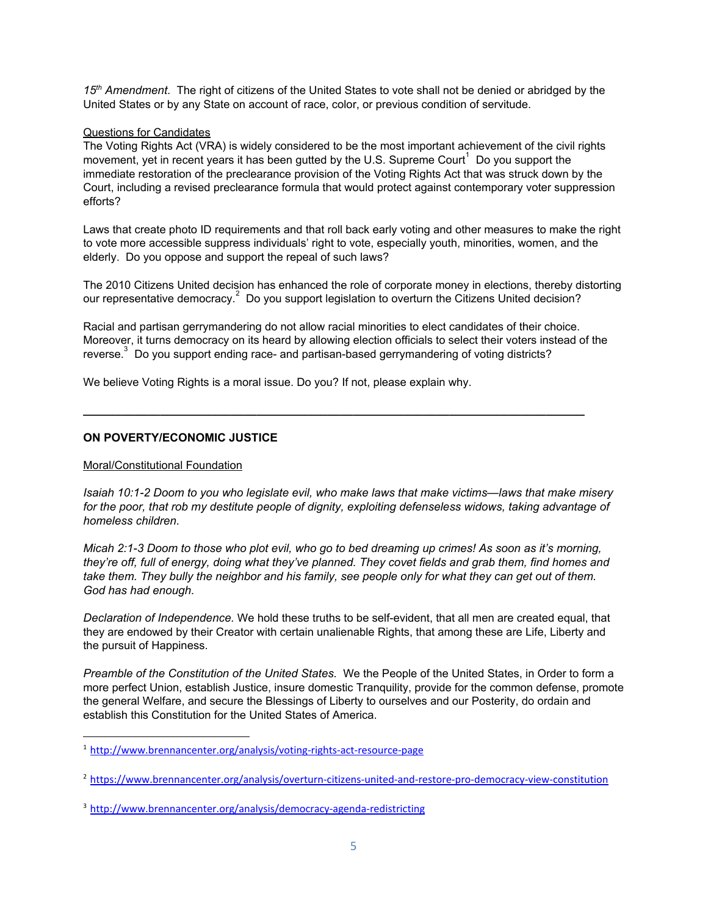*15th Amendment*. The right of citizens of the United States to vote shall not be denied or abridged by the United States or by any State on account of race, color, or previous condition of servitude.

#### Questions for Candidates

The Voting Rights Act (VRA) is widely considered to be the most important achievement of the civil rights movement, yet in recent years it has been gutted by the U.S. Supreme Court  $1$  Do you support the immediate restoration of the preclearance provision of the Voting Rights Act that was struck down by the Court, including a revised preclearance formula that would protect against contemporary voter suppression efforts?

Laws that create photo ID requirements and that roll back early voting and other measures to make the right to vote more accessible suppress individuals' right to vote, especially youth, minorities, women, and the elderly. Do you oppose and support the repeal of such laws?

The 2010 Citizens United decision has enhanced the role of corporate money in elections, thereby distorting our representative democracy.<sup>2</sup> Do you support legislation to overturn the Citizens United decision?

Racial and partisan gerrymandering do not allow racial minorities to elect candidates of their choice. Moreover, it turns democracy on its heard by allowing election officials to select their voters instead of the reverse. Do you support ending race- and partisan-based gerrymandering of voting districts?

**\_\_\_\_\_\_\_\_\_\_\_\_\_\_\_\_\_\_\_\_\_\_\_\_\_\_\_\_\_\_\_\_\_\_\_\_\_\_\_\_\_\_\_\_\_\_\_\_\_\_\_\_\_\_\_\_\_\_\_\_\_\_\_\_\_\_\_\_\_\_\_\_\_\_\_\_\_\_**

We believe Voting Rights is a moral issue. Do you? If not, please explain why.

#### **ON POVERTY/ECONOMIC JUSTICE**

#### Moral/Constitutional Foundation

*Isaiah 10:12 Doom to you who legislate evil, who make laws that make victims—laws that make misery for the poor, that rob my destitute people of dignity, exploiting defenseless widows, taking advantage of homeless children.*

*Micah 2:13 Doom to those who plot evil, who go to bed dreaming up crimes! As soon as it's morning, they're off, full of energy, doing what they've planned. They covet fields and grab them, find homes and take them. They bully the neighbor and his family, see people only for what they can get out of them. God has had enough.*

*Declaration of Independence.* We hold these truths to be self-evident, that all men are created equal, that they are endowed by their Creator with certain unalienable Rights, that among these are Life, Liberty and the pursuit of Happiness.

*Preamble of the Constitution of the United States.* We the People of the United States, in Order to form a more perfect Union, establish Justice, insure domestic Tranquility, provide for the common defense, promote the general Welfare, and secure the Blessings of Liberty to ourselves and our Posterity, do ordain and establish this Constitution for the United States of America.

 $1$  http://www.brennancenter.org/analysis/voting-rights-act-resource-page

<sup>&</sup>lt;sup>[2](http://www.brennancenter.org/analysis/voting-rights-act-resource-page)</sup> https://www.brennancenter.org/analysis/overturn-citizens-united-and-restore-pro-democracy-view-constitution

<sup>&</sup>lt;sup>[3](https://www.brennancenter.org/analysis/overturn-citizens-united-and-restore-pro-democracy-view-constitution)</sup> http://www.brennancenter.org/analysis/democracy-agenda-redistricting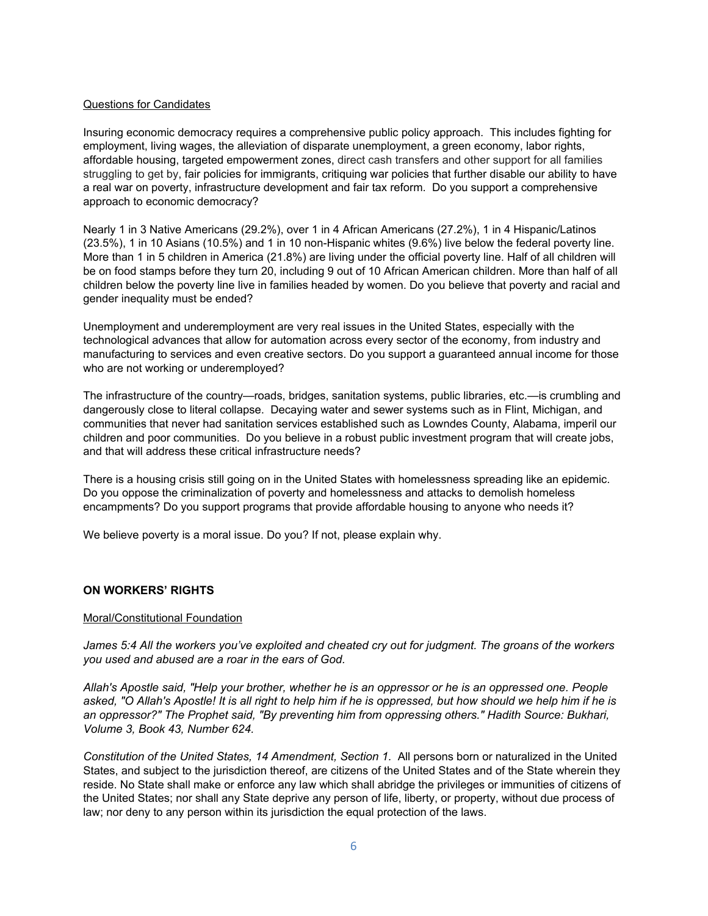#### Questions for Candidates

Insuring economic democracy requires a comprehensive public policy approach. This includes fighting for employment, living wages, the alleviation of disparate unemployment, a green economy, labor rights, affordable housing, targeted empowerment zones, direct cash transfers and other support for all families struggling to get by, fair policies for immigrants, critiquing war policies that further disable our ability to have a real war on poverty, infrastructure development and fair tax reform. Do you support a comprehensive approach to economic democracy?

Nearly 1 in 3 Native Americans (29.2%), over 1 in 4 African Americans (27.2%), 1 in 4 Hispanic/Latinos  $(23.5\%)$ , 1 in 10 Asians  $(10.5\%)$  and 1 in 10 non-Hispanic whites  $(9.6\%)$  live below the federal poverty line. More than 1 in 5 children in America (21.8%) are living under the official poverty line. Half of all children will be on food stamps before they turn 20, including 9 out of 10 African American children. More than half of all children below the poverty line live in families headed by women. Do you believe that poverty and racial and gender inequality must be ended?

Unemployment and underemployment are very real issues in the United States, especially with the technological advances that allow for automation across every sector of the economy, from industry and manufacturing to services and even creative sectors. Do you support a guaranteed annual income for those who are not working or underemployed?

The infrastructure of the country—roads, bridges, sanitation systems, public libraries, etc.—is crumbling and dangerously close to literal collapse. Decaying water and sewer systems such as in Flint, Michigan, and communities that never had sanitation services established such as Lowndes County, Alabama, imperil our children and poor communities. Do you believe in a robust public investment program that will create jobs, and that will address these critical infrastructure needs?

There is a housing crisis still going on in the United States with homelessness spreading like an epidemic. Do you oppose the criminalization of poverty and homelessness and attacks to demolish homeless encampments? Do you support programs that provide affordable housing to anyone who needs it?

We believe poverty is a moral issue. Do you? If not, please explain why.

#### **ON WORKERS' RIGHTS**

#### Moral/Constitutional Foundation

*James 5:4 All the workers you've exploited and cheated cry out for judgment. The groans of the workers you used and abused are a roar in the ears of God.*

*Allah's Apostle said, "Help your brother, whether he is an oppressor or he is an oppressed one. People asked, "O Allah's Apostle! It is all right to help him if he is oppressed, but how should we help him if he is an oppressor?" The Prophet said, "By preventing him from oppressing others." Hadith Source: Bukhari, Volume 3, Book 43, Number 624.*

*Constitution of the United States, 14 Amendment, Section 1.* All persons born or naturalized in the United States, and subject to the jurisdiction thereof, are citizens of the United States and of the State wherein they reside. No State shall make or enforce any law which shall abridge the privileges or immunities of citizens of the United States; nor shall any State deprive any person of life, liberty, or property, without due process of law; nor deny to any person within its jurisdiction the equal protection of the laws.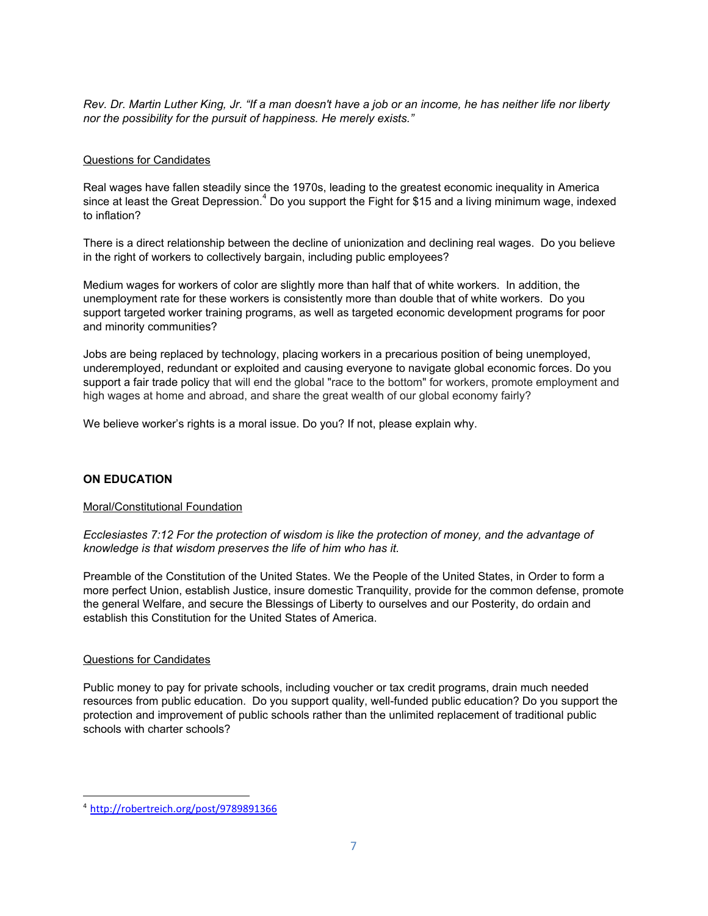*Rev. Dr. Martin Luther King, Jr. "If a man doesn't have a job or an income, he has neither life nor liberty nor the possibility for the pursuit of happiness. He merely exists."*

#### Questions for Candidates

Real wages have fallen steadily since the 1970s, leading to the greatest economic inequality in America since at least the Great Depression.<sup>4</sup> Do you support the Fight for \$15 and a living minimum wage, indexed to inflation?

There is a direct relationship between the decline of unionization and declining real wages. Do you believe in the right of workers to collectively bargain, including public employees?

Medium wages for workers of color are slightly more than half that of white workers. In addition, the unemployment rate for these workers is consistently more than double that of white workers. Do you support targeted worker training programs, as well as targeted economic development programs for poor and minority communities?

Jobs are being replaced by technology, placing workers in a precarious position of being unemployed, underemployed, redundant or exploited and causing everyone to navigate global economic forces. Do you support a fair trade policy that will end the global "race to the bottom" for workers, promote employment and high wages at home and abroad, and share the great wealth of our global economy fairly?

We believe worker's rights is a moral issue. Do you? If not, please explain why.

#### **ON EDUCATION**

#### Moral/Constitutional Foundation

 *Ecclesiastes 7:12 For the protection of wisdom is like the protection of money, and the advantage of knowledge is that wisdom preserves the life of him who has it.*

Preamble of the Constitution of the United States. We the People of the United States, in Order to form a more perfect Union, establish Justice, insure domestic Tranquility, provide for the common defense, promote the general Welfare, and secure the Blessings of Liberty to ourselves and our Posterity, do ordain and establish this Constitution for the United States of America.

#### Questions for Candidates

Public money to pay for private schools, including voucher or tax credit programs, drain much needed resources from public education. Do you support quality, well-funded public education? Do you support the protection and improvement of public schools rather than the unlimited replacement of traditional public schools with charter schools?

<sup>4</sup> <http://robertreich.org/post/9789891366>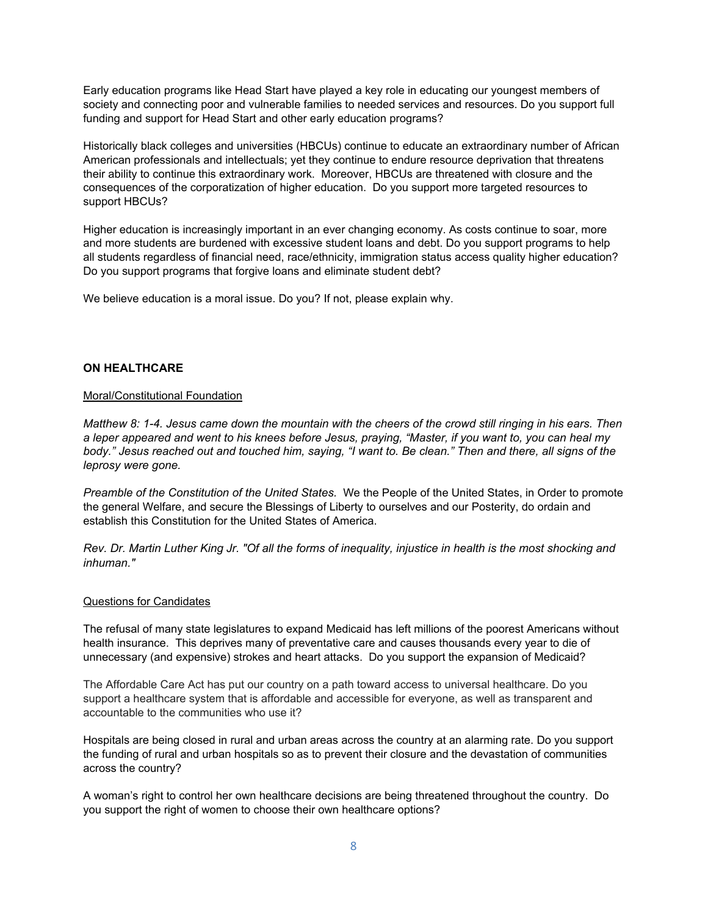Early education programs like Head Start have played a key role in educating our youngest members of society and connecting poor and vulnerable families to needed services and resources. Do you support full funding and support for Head Start and other early education programs?

Historically black colleges and universities (HBCUs) continue to educate an extraordinary number of African American professionals and intellectuals; yet they continue to endure resource deprivation that threatens their ability to continue this extraordinary work. Moreover, HBCUs are threatened with closure and the consequences of the corporatization of higher education. Do you support more targeted resources to support HBCUs?

Higher education is increasingly important in an ever changing economy. As costs continue to soar, more and more students are burdened with excessive student loans and debt. Do you support programs to help all students regardless of financial need, race/ethnicity, immigration status access quality higher education? Do you support programs that forgive loans and eliminate student debt?

We believe education is a moral issue. Do you? If not, please explain why.

#### **ON HEALTHCARE**

#### Moral/Constitutional Foundation

*Matthew 8: 14. Jesus came down the mountain with the cheers of the crowd still ringing in his ears. Then a leper appeared and went to his knees before Jesus, praying, "Master, if you want to, you can heal my body." Jesus reached out and touched him, saying, "I want to. Be clean." Then and there, all signs of the leprosy were gone.*

*Preamble of the Constitution of the United States.* We the People of the United States, in Order to promote the general Welfare, and secure the Blessings of Liberty to ourselves and our Posterity, do ordain and establish this Constitution for the United States of America.

*Rev. Dr. Martin Luther King Jr. "Of all the forms of inequality, injustice in health is the most shocking and inhuman."*

#### Questions for Candidates

The refusal of many state legislatures to expand Medicaid has left millions of the poorest Americans without health insurance. This deprives many of preventative care and causes thousands every year to die of unnecessary (and expensive) strokes and heart attacks. Do you support the expansion of Medicaid?

The Affordable Care Act has put our country on a path toward access to universal healthcare. Do you support a healthcare system that is affordable and accessible for everyone, as well as transparent and accountable to the communities who use it?

Hospitals are being closed in rural and urban areas across the country at an alarming rate. Do you support the funding of rural and urban hospitals so as to prevent their closure and the devastation of communities across the country?

A woman's right to control her own healthcare decisions are being threatened throughout the country. Do you support the right of women to choose their own healthcare options?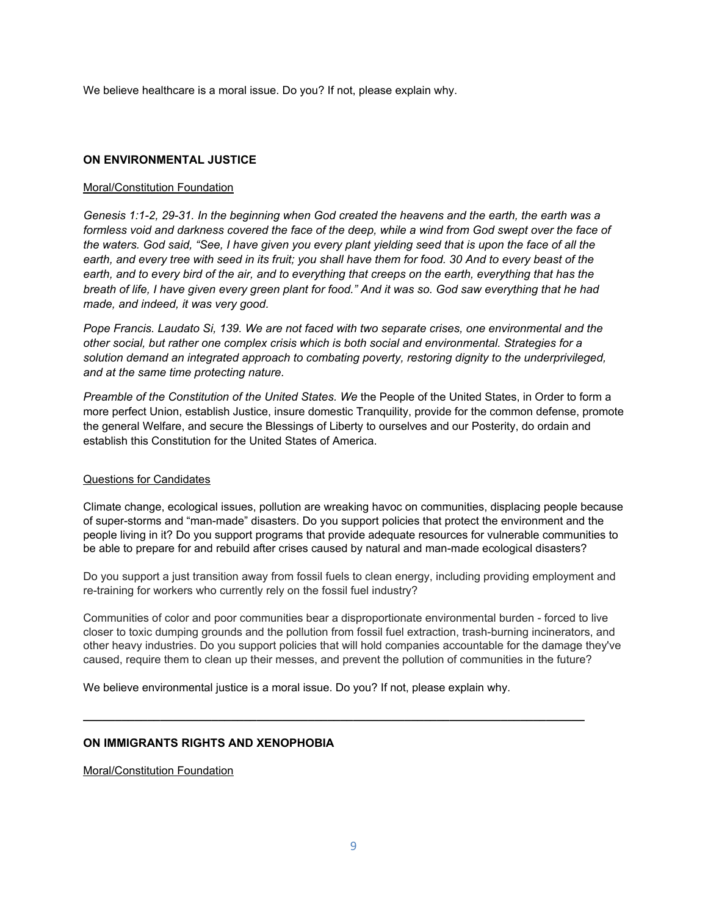We believe healthcare is a moral issue. Do you? If not, please explain why.

#### **ON ENVIRONMENTAL JUSTICE**

#### Moral/Constitution Foundation

*Genesis 1:12, 2931. In the beginning when God created the heavens and the earth, the earth was a formless void and darkness covered the face of the deep, while a wind from God swept over the face of the waters. God said, "See, I have given you every plant yielding seed that is upon the face of all the earth, and every tree with seed in its fruit; you shall have them for food. 30 And to every beast of the earth, and to every bird of the air, and to everything that creeps on the earth, everything that has the breath of life, I have given every green plant for food." And it was so. God saw everything that he had made, and indeed, it was very good.*

*Pope Francis. Laudato Si, 139. We are not faced with two separate crises, one environmental and the other social, but rather one complex crisis which is both social and environmental. Strategies for a solution demand an integrated approach to combating poverty, restoring dignity to the underprivileged, and at the same time protecting nature.*

*Preamble of the Constitution of the United States. We* the People of the United States, in Order to form a more perfect Union, establish Justice, insure domestic Tranquility, provide for the common defense, promote the general Welfare, and secure the Blessings of Liberty to ourselves and our Posterity, do ordain and establish this Constitution for the United States of America.

#### Questions for Candidates

Climate change, ecological issues, pollution are wreaking havoc on communities, displacing people because of super-storms and "man-made" disasters. Do you support policies that protect the environment and the people living in it? Do you support programs that provide adequate resources for vulnerable communities to be able to prepare for and rebuild after crises caused by natural and man-made ecological disasters?

Do you support a just transition away from fossil fuels to clean energy, including providing employment and re-training for workers who currently rely on the fossil fuel industry?

Communities of color and poor communities bear a disproportionate environmental burden forced to live closer to toxic dumping grounds and the pollution from fossil fuel extraction, trash-burning incinerators, and other heavy industries. Do you support policies that will hold companies accountable for the damage they've caused, require them to clean up their messes, and prevent the pollution of communities in the future?

**\_\_\_\_\_\_\_\_\_\_\_\_\_\_\_\_\_\_\_\_\_\_\_\_\_\_\_\_\_\_\_\_\_\_\_\_\_\_\_\_\_\_\_\_\_\_\_\_\_\_\_\_\_\_\_\_\_\_\_\_\_\_\_\_\_\_\_\_\_\_\_\_\_\_\_\_\_\_**

We believe environmental justice is a moral issue. Do you? If not, please explain why.

#### **ON IMMIGRANTS RIGHTS AND XENOPHOBIA**

Moral/Constitution Foundation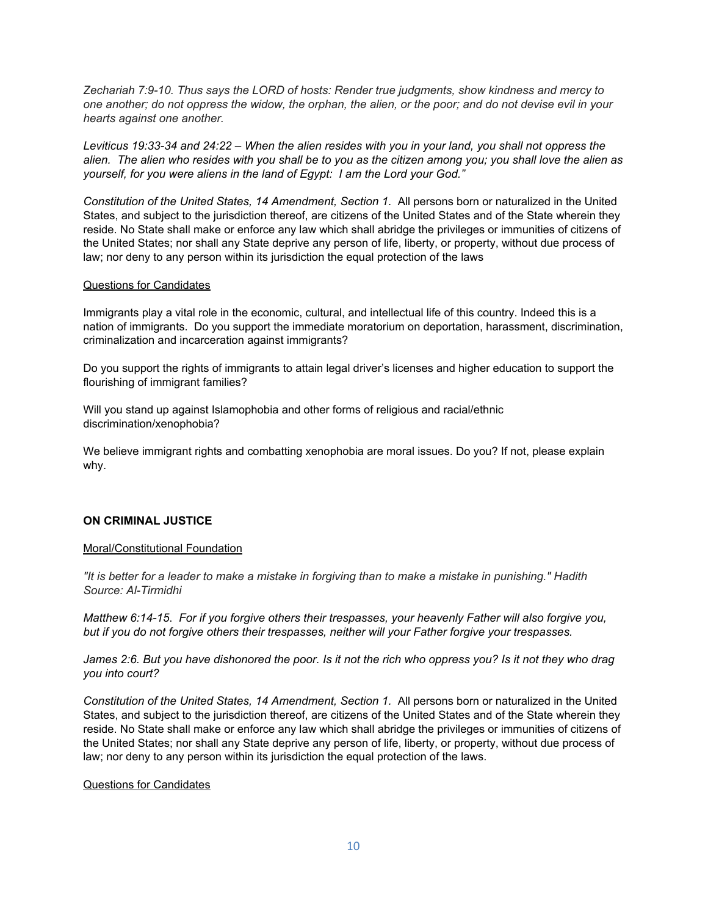*Zechariah 7:910. Thus says the LORD of hosts: Render true judgments, show kindness and mercy to one another; do not oppress the widow, the orphan, the alien, or the poor; and do not devise evil in your hearts against one another.*

*Leviticus 19:3334 and 24:22 – When the alien resides with you in your land, you shall not oppress the alien. The alien who resides with you shall be to you as the citizen among you; you shall love the alien as yourself, for you were aliens in the land of Egypt: I am the Lord your God."*

*Constitution of the United States, 14 Amendment, Section 1.* All persons born or naturalized in the United States, and subject to the jurisdiction thereof, are citizens of the United States and of the State wherein they reside. No State shall make or enforce any law which shall abridge the privileges or immunities of citizens of the United States; nor shall any State deprive any person of life, liberty, or property, without due process of law; nor deny to any person within its jurisdiction the equal protection of the laws

#### Questions for Candidates

Immigrants play a vital role in the economic, cultural, and intellectual life of this country. Indeed this is a nation of immigrants. Do you support the immediate moratorium on deportation, harassment, discrimination, criminalization and incarceration against immigrants?

Do you support the rights of immigrants to attain legal driver's licenses and higher education to support the flourishing of immigrant families?

Will you stand up against Islamophobia and other forms of religious and racial/ethnic discrimination/xenophobia?

We believe immigrant rights and combatting xenophobia are moral issues. Do you? If not, please explain why.

#### **ON CRIMINAL JUSTICE**

#### Moral/Constitutional Foundation

*"It is better for a leader to make a mistake in forgiving than to make a mistake in punishing." Hadith Source: AlTirmidhi*

*Matthew 6:1415*.*For if you forgive others their trespasses, your heavenly Father will also forgive you, but if you do not forgive others their trespasses, neither will your Father forgive your trespasses.*

*James 2:6. But you have dishonored the poor. Is it not the rich who oppress you? Is it not they who drag you into court?*

*Constitution of the United States, 14 Amendment, Section 1.* All persons born or naturalized in the United States, and subject to the jurisdiction thereof, are citizens of the United States and of the State wherein they reside. No State shall make or enforce any law which shall abridge the privileges or immunities of citizens of the United States; nor shall any State deprive any person of life, liberty, or property, without due process of law; nor deny to any person within its jurisdiction the equal protection of the laws.

#### Questions for Candidates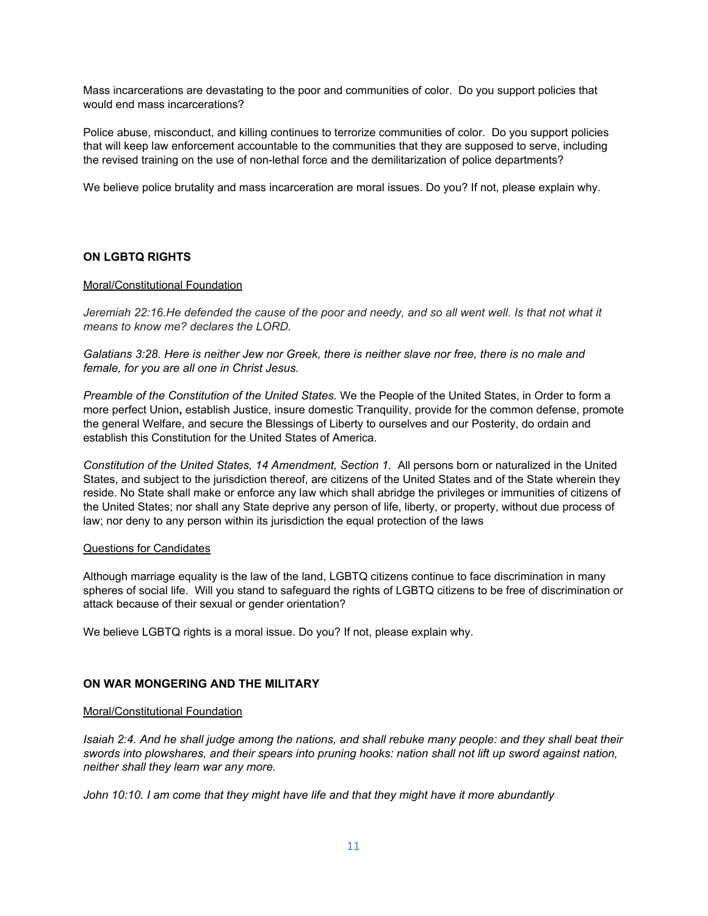Mass incarcerations are devastating to the poor and communities of color. Do you support policies that would end mass incarcerations?

Police abuse, misconduct, and killing continues to terrorize communities of color. Do you support policies that will keep law enforcement accountable to the communities that they are supposed to serve, including the revised training on the use of non-lethal force and the demilitarization of police departments?

We believe police brutality and mass incarceration are moral issues. Do you? If not, please explain why.

#### **ON LGBTQ RIGHTS**

#### Moral/Constitutional Foundation

*Jeremiah 22:16.He defended the cause of the poor and needy, and so all went well. Is that not what it means to know me? declares the LORD.*

*Galatians 3:28. Here is neither Jew nor Greek, there is neither slave nor free, there is no male and female, for you are all one in Christ Jesus.*

*Preamble of the Constitution of the United States.* We the People of the United States, in Order to form a more perfect Union**,** establish Justice, insure domestic Tranquility, provide for the common defense, promote the general Welfare, and secure the Blessings of Liberty to ourselves and our Posterity, do ordain and establish this Constitution for the United States of America.

*Constitution of the United States, 14 Amendment, Section 1.* All persons born or naturalized in the United States, and subject to the jurisdiction thereof, are citizens of the United States and of the State wherein they reside. No State shall make or enforce any law which shall abridge the privileges or immunities of citizens of the United States; nor shall any State deprive any person of life, liberty, or property, without due process of law; nor deny to any person within its jurisdiction the equal protection of the laws

#### Questions for Candidates

Although marriage equality is the law of the land, LGBTQ citizens continue to face discrimination in many spheres of social life. Will you stand to safeguard the rights of LGBTQ citizens to be free of discrimination or attack because of their sexual or gender orientation?

We believe LGBTQ rights is a moral issue. Do you? If not, please explain why.

#### **ON WAR MONGERING AND THE MILITARY**

#### Moral/Constitutional Foundation

*Isaiah 2:4. And he shall judge among the nations, and shall rebuke many people: and they shall beat their swords into plowshares, and their spears into pruning hooks: nation shall not lift up sword against nation, neither shall they learn war any more.*

*John 10:10. I am come that they might have life and that they might have it more abundantly*